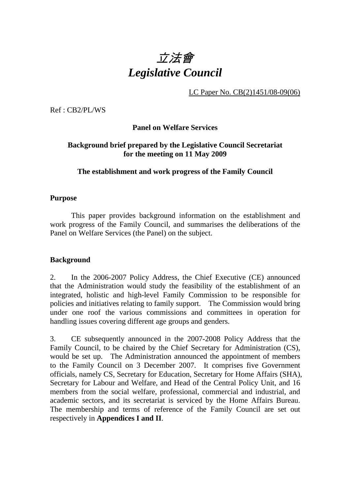

LC Paper No. CB(2)1451/08-09(06)

Ref : CB2/PL/WS

**Panel on Welfare Services** 

## **Background brief prepared by the Legislative Council Secretariat for the meeting on 11 May 2009**

# **The establishment and work progress of the Family Council**

# **Purpose**

This paper provides background information on the establishment and work progress of the Family Council, and summarises the deliberations of the Panel on Welfare Services (the Panel) on the subject.

# **Background**

2. In the 2006-2007 Policy Address, the Chief Executive (CE) announced that the Administration would study the feasibility of the establishment of an integrated, holistic and high-level Family Commission to be responsible for policies and initiatives relating to family support. The Commission would bring under one roof the various commissions and committees in operation for handling issues covering different age groups and genders.

3. CE subsequently announced in the 2007-2008 Policy Address that the Family Council, to be chaired by the Chief Secretary for Administration (CS), would be set up. The Administration announced the appointment of members to the Family Council on 3 December 2007. It comprises five Government officials, namely CS, Secretary for Education, Secretary for Home Affairs (SHA), Secretary for Labour and Welfare, and Head of the Central Policy Unit, and 16 members from the social welfare, professional, commercial and industrial, and academic sectors, and its secretariat is serviced by the Home Affairs Bureau. The membership and terms of reference of the Family Council are set out respectively in **Appendices I and II**.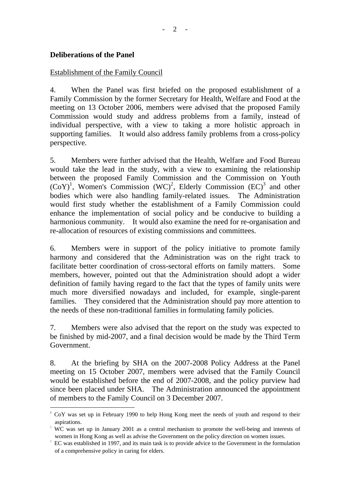## **Deliberations of the Panel**

l

## Establishment of the Family Council

4. When the Panel was first briefed on the proposed establishment of a Family Commission by the former Secretary for Health, Welfare and Food at the meeting on 13 October 2006, members were advised that the proposed Family Commission would study and address problems from a family, instead of individual perspective, with a view to taking a more holistic approach in supporting families. It would also address family problems from a cross-policy perspective.

5. Members were further advised that the Health, Welfare and Food Bureau would take the lead in the study, with a view to examining the relationship between the proposed Family Commission and the Commission on Youth  $(CoY)^1$ , Women's Commission  $(WC)^2$ , Elderly Commission  $(EC)^3$  and other bodies which were also handling family-related issues. The Administration would first study whether the establishment of a Family Commission could enhance the implementation of social policy and be conducive to building a harmonious community. It would also examine the need for re-organisation and re-allocation of resources of existing commissions and committees.

6. Members were in support of the policy initiative to promote family harmony and considered that the Administration was on the right track to facilitate better coordination of cross-sectoral efforts on family matters. Some members, however, pointed out that the Administration should adopt a wider definition of family having regard to the fact that the types of family units were much more diversified nowadays and included, for example, single-parent families. They considered that the Administration should pay more attention to the needs of these non-traditional families in formulating family policies.

7. Members were also advised that the report on the study was expected to be finished by mid-2007, and a final decision would be made by the Third Term Government.

8. At the briefing by SHA on the 2007-2008 Policy Address at the Panel meeting on 15 October 2007, members were advised that the Family Council would be established before the end of 2007-2008, and the policy purview had since been placed under SHA. The Administration announced the appointment of members to the Family Council on 3 December 2007.

<sup>&</sup>lt;sup>1</sup> CoY was set up in February 1990 to help Hong Kong meet the needs of youth and respond to their aspirations.

 $2$  WC was set up in January 2001 as a central mechanism to promote the well-being and interests of women in Hong Kong as well as advise the Government on the policy direction on women issues.

<sup>3</sup> EC was established in 1997, and its main task is to provide advice to the Government in the formulation of a comprehensive policy in caring for elders.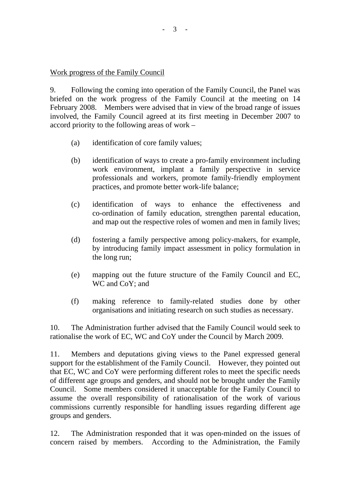## Work progress of the Family Council

9. Following the coming into operation of the Family Council, the Panel was briefed on the work progress of the Family Council at the meeting on 14 February 2008. Members were advised that in view of the broad range of issues involved, the Family Council agreed at its first meeting in December 2007 to accord priority to the following areas of work –

- (a) identification of core family values;
- (b) identification of ways to create a pro-family environment including work environment, implant a family perspective in service professionals and workers, promote family-friendly employment practices, and promote better work-life balance;
- (c) identification of ways to enhance the effectiveness and co-ordination of family education, strengthen parental education, and map out the respective roles of women and men in family lives;
- (d) fostering a family perspective among policy-makers, for example, by introducing family impact assessment in policy formulation in the long run;
- (e) mapping out the future structure of the Family Council and EC, WC and CoY; and
- (f) making reference to family-related studies done by other organisations and initiating research on such studies as necessary.

10. The Administration further advised that the Family Council would seek to rationalise the work of EC, WC and CoY under the Council by March 2009.

11. Members and deputations giving views to the Panel expressed general support for the establishment of the Family Council. However, they pointed out that EC, WC and CoY were performing different roles to meet the specific needs of different age groups and genders, and should not be brought under the Family Council. Some members considered it unacceptable for the Family Council to assume the overall responsibility of rationalisation of the work of various commissions currently responsible for handling issues regarding different age groups and genders.

12. The Administration responded that it was open-minded on the issues of concern raised by members. According to the Administration, the Family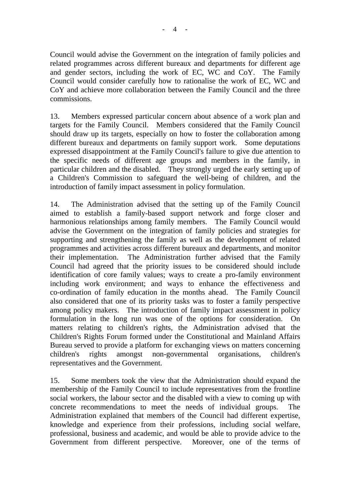$4 -$ 

Council would advise the Government on the integration of family policies and related programmes across different bureaux and departments for different age and gender sectors, including the work of EC, WC and CoY. The Family Council would consider carefully how to rationalise the work of EC, WC and CoY and achieve more collaboration between the Family Council and the three commissions.

13. Members expressed particular concern about absence of a work plan and targets for the Family Council. Members considered that the Family Council should draw up its targets, especially on how to foster the collaboration among different bureaux and departments on family support work. Some deputations expressed disappointment at the Family Council's failure to give due attention to the specific needs of different age groups and members in the family, in particular children and the disabled. They strongly urged the early setting up of a Children's Commission to safeguard the well-being of children, and the introduction of family impact assessment in policy formulation.

14. The Administration advised that the setting up of the Family Council aimed to establish a family-based support network and forge closer and harmonious relationships among family members. The Family Council would advise the Government on the integration of family policies and strategies for supporting and strengthening the family as well as the development of related programmes and activities across different bureaux and departments, and monitor their implementation. The Administration further advised that the Family Council had agreed that the priority issues to be considered should include identification of core family values; ways to create a pro-family environment including work environment; and ways to enhance the effectiveness and co-ordination of family education in the months ahead. The Family Council also considered that one of its priority tasks was to foster a family perspective among policy makers. The introduction of family impact assessment in policy formulation in the long run was one of the options for consideration. On matters relating to children's rights, the Administration advised that the Children's Rights Forum formed under the Constitutional and Mainland Affairs Bureau served to provide a platform for exchanging views on matters concerning children's rights amongst non-governmental organisations, children's representatives and the Government.

15. Some members took the view that the Administration should expand the membership of the Family Council to include representatives from the frontline social workers, the labour sector and the disabled with a view to coming up with concrete recommendations to meet the needs of individual groups. The Administration explained that members of the Council had different expertise, knowledge and experience from their professions, including social welfare, professional, business and academic, and would be able to provide advice to the Government from different perspective. Moreover, one of the terms of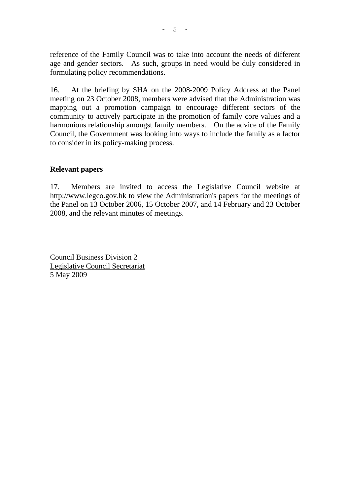reference of the Family Council was to take into account the needs of different age and gender sectors. As such, groups in need would be duly considered in formulating policy recommendations.

16. At the briefing by SHA on the 2008-2009 Policy Address at the Panel meeting on 23 October 2008, members were advised that the Administration was mapping out a promotion campaign to encourage different sectors of the community to actively participate in the promotion of family core values and a harmonious relationship amongst family members. On the advice of the Family Council, the Government was looking into ways to include the family as a factor to consider in its policy-making process.

## **Relevant papers**

17. Members are invited to access the Legislative Council website at http://www.legco.gov.hk to view the Administration's papers for the meetings of the Panel on 13 October 2006, 15 October 2007, and 14 February and 23 October 2008, and the relevant minutes of meetings.

Council Business Division 2 Legislative Council Secretariat 5 May 2009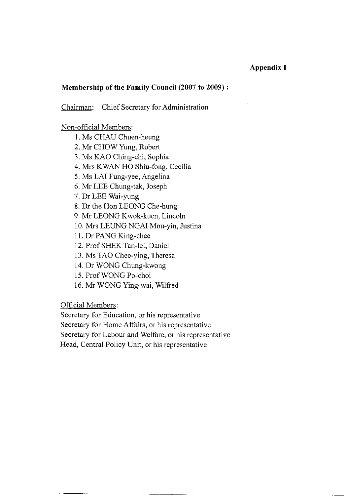#### **Appendix I**

#### Membership of the Family Council (2007 to 2009):

Chairman: Chief Secretary for Administration

#### Non-official Members:

- 1. Ms CHAU Chuen-heung
- 2. Mr CHOW Yung, Robert
- 3. Ms KAO Ching-chi, Sophia
- 4. Mrs KWAN HO Shiu-fong, Cecilia
- 5. Ms LAI Fung-yee, Angelina
- 6. Mr LEE Chung-tak, Joseph

7. Dr LEE Wai-yung

- 8. Dr the Hon LEONG Che-hung
- 9. Mr LEONG Kwok-kuen, Lincoln
- 10. Mrs LEUNG NGAI Mou-yin, Justina
- 11. Dr PANG King-chee
- 12. Prof SHEK Tan-lei, Daniel
- 13. Ms TAO Chee-ying, Theresa
- 14. Dr WONG Chung-kwong
- 15. Prof WONG Po-choi
- 16. Mr WONG Ying-wai, Wilfred

Official Members:

Secretary for Education, or his representative Secretary for Home Affairs, or his representative Secretary for Labour and Welfare, or his representative

Head, Central Policy Unit, or his representative